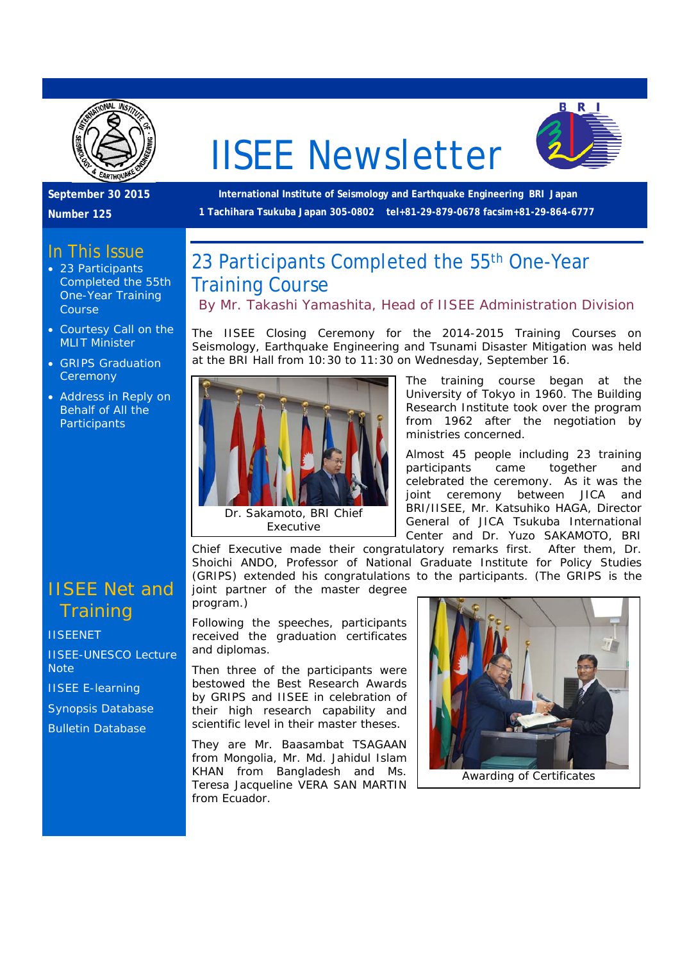

# IISEE Newsletter



**September 30 2015** 

**Number 125** 

#### In This Issue

- 23 Participants Completed the 55th One-Year Training Course
- Courtesy Call on the MLIT Minister
- GRIPS Graduation **Ceremony**
- Address in Reply on Behalf of All the **Participants**

### IISEE Net and **Training**

**IISEENET** 

IISEE-UNESCO Lecture **Note** 

IISEE E-learning

Synopsis Database

Bulletin Database

 **International Institute of Seismology and Earthquake Engineering BRI Japan 1 Tachihara Tsukuba Japan 305-0802 tel+81-29-879-0678 facsim+81-29-864-6777** 

## 23 Participants Completed the 55<sup>th</sup> One-Year Training Course

*By Mr. Takashi Yamashita, Head of IISEE Administration Division* 

The IISEE Closing Ceremony for the 2014-2015 Training Courses on Seismology, Earthquake Engineering and Tsunami Disaster Mitigation was held at the BRI Hall from 10:30 to 11:30 on Wednesday, September 16.



The training course began at the University of Tokyo in 1960. The Building Research Institute took over the program from 1962 after the negotiation by ministries concerned.

Almost 45 people including 23 training participants came together and celebrated the ceremony. As it was the joint ceremony between JICA and BRI/IISEE, Mr. Katsuhiko HAGA, Director General of JICA Tsukuba International Center and Dr. Yuzo SAKAMOTO, BRI

Chief Executive made their congratulatory remarks first. After them, Dr. Shoichi ANDO, Professor of National Graduate Institute for Policy Studies (GRIPS) extended his congratulations to the participants. (The GRIPS is the joint partner of the master degree

program.)

Following the speeches, participants received the graduation certificates and diplomas.

Then three of the participants were bestowed the Best Research Awards by GRIPS and IISEE in celebration of their high research capability and scientific level in their master theses.

They are Mr. Baasambat TSAGAAN from Mongolia, Mr. Md. Jahidul Islam KHAN from Bangladesh and Ms. Teresa Jacqueline VERA SAN MARTIN from Ecuador.



Awarding of Certificates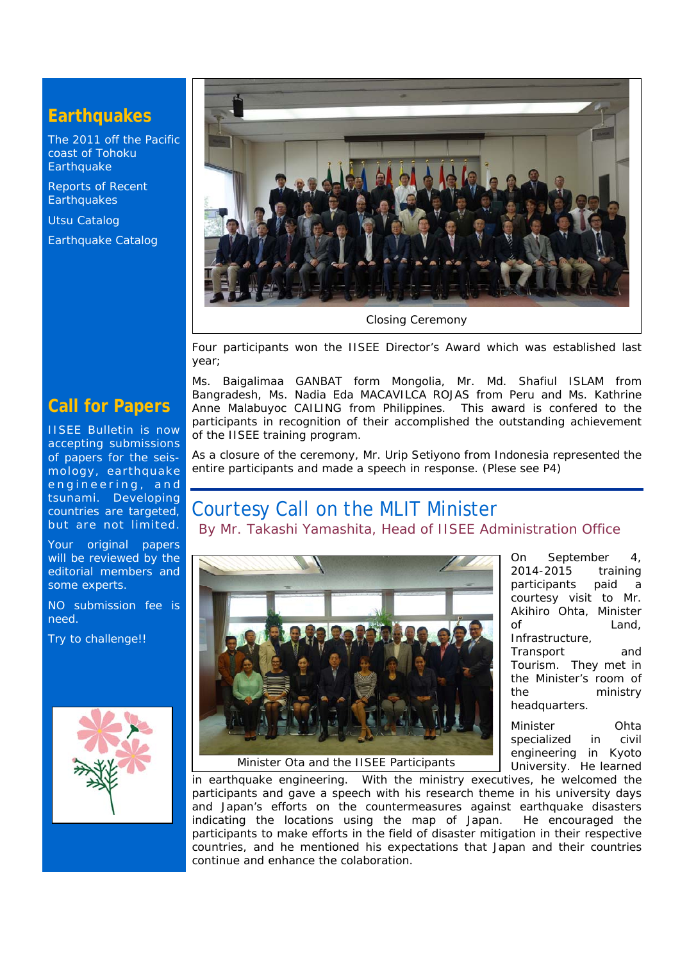#### **Earthquakes**

The 2011 off the Pacific coast of Tohoku **Earthquake** 

Reports of Recent **Earthquakes** 

Utsu Catalog

Earthquake Catalog



Closing Ceremony

Four participants won the IISEE Director's Award which was established last year;

Ms. Baigalimaa GANBAT form Mongolia, Mr. Md. Shafiul ISLAM from Bangradesh, Ms. Nadia Eda MACAVILCA ROJAS from Peru and Ms. Kathrine Anne Malabuyoc CAILING from Philippines. This award is confered to the participants in recognition of their accomplished the outstanding achievement of the IISEE training program.

As a closure of the ceremony, Mr. Urip Setiyono from Indonesia represented the entire participants and made a speech in response. (Plese see P4)

## Courtesy Call on the MLIT Minister

*By Mr. Takashi Yamashita, Head of IISEE Administration Office* 



On September 4, 2014-2015 training participants paid a courtesy visit to Mr. Akihiro Ohta, Minister of Land, Infrastructure, Transport and Tourism. They met in the Minister's room of the ministry headquarters. Minister Ohta

specialized in civil engineering in Kyoto University. He learned

Minister Ota and the IISEE Participants

in earthquake engineering. With the ministry executives, he welcomed the participants and gave a speech with his research theme in his university days and Japan's efforts on the countermeasures against earthquake disasters indicating the locations using the map of Japan. He encouraged the participants to make efforts in the field of disaster mitigation in their respective countries, and he mentioned his expectations that Japan and their countries continue and enhance the colaboration.

#### **Call for Papers**

IISEE Bulletin is now accepting submissions of papers for the seismology, earthquake engineering, and tsunami. Developing countries are targeted, but are not limited.

Your original papers will be reviewed by the editorial members and some experts.

NO submission fee is need.

Try to challenge!!

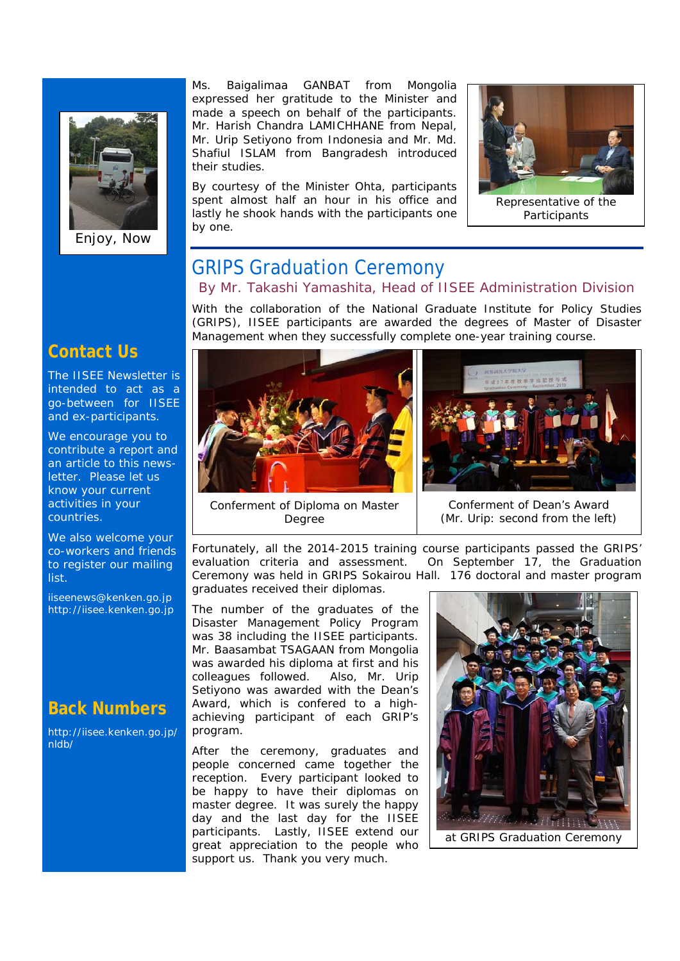

Enjoy, Now

Ms. Baigalimaa GANBAT from Mongolia expressed her gratitude to the Minister and made a speech on behalf of the participants. Mr. Harish Chandra LAMICHHANE from Nepal, Mr. Urip Setiyono from Indonesia and Mr. Md. Shafiul ISLAM from Bangradesh introduced their studies.

By courtesy of the Minister Ohta, participants spent almost half an hour in his office and lastly he shook hands with the participants one by one.



Representative of the **Participants** 

#### GRIPS Graduation Ceremony *By Mr. Takashi Yamashita, Head of IISEE Administration Division*

With the collaboration of the National Graduate Institute for Policy Studies (GRIPS), IISEE participants are awarded the degrees of Master of Disaster Management when they successfully complete one-year training course.





Conferment of Diploma on Master Degree

Conferment of Dean's Award (Mr. Urip: second from the left)

Fortunately, all the 2014-2015 training course participants passed the GRIPS' evaluation criteria and assessment. On September 17, the Graduation Ceremony was held in GRIPS Sokairou Hall. 176 doctoral and master program graduates received their diplomas.

The number of the graduates of the Disaster Management Policy Program was 38 including the IISEE participants. Mr. Baasambat TSAGAAN from Mongolia was awarded his diploma at first and his colleagues followed. Also, Mr. Urip Setiyono was awarded with the Dean's Award, which is confered to a highachieving participant of each GRIP's program.

After the ceremony, graduates and people concerned came together the reception. Every participant looked to be happy to have their diplomas on master degree. It was surely the happy day and the last day for the IISEE participants. Lastly, IISEE extend our great appreciation to the people who support us. Thank you very much.



#### **Contact Us**

The IISEE Newsletter is intended to act as a go-between for IISEE and ex-participants.

We encourage you to contribute a report and an article to this newsletter. Please let us know your current activities in your countries.

We also welcome your co-workers and friends to register our mailing list.

iiseenews@kenken.go.jp http://iisee.kenken.go.jp

#### **Back Numbers**

http://iisee.kenken.go.jp/ nldb/